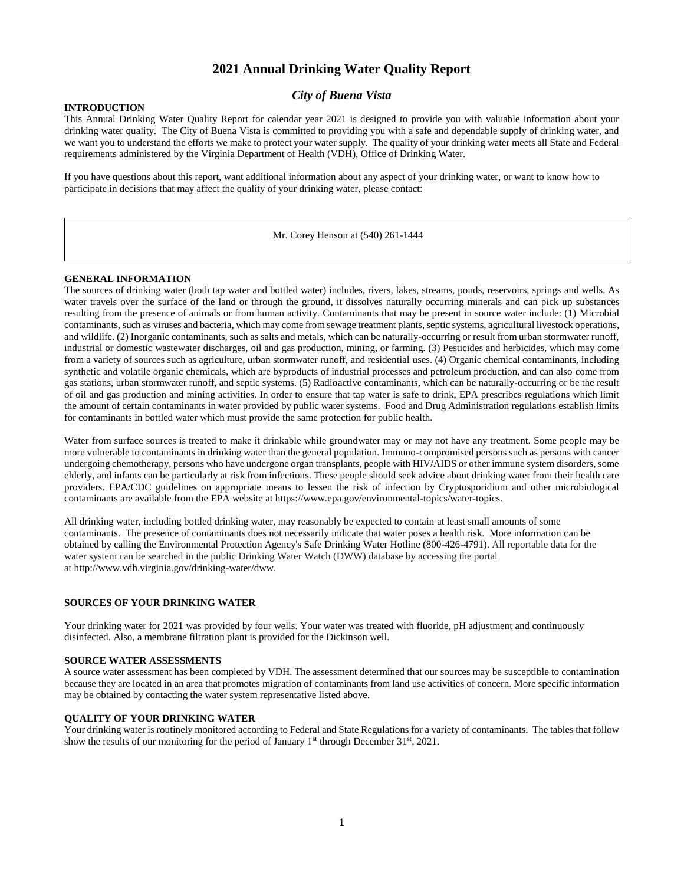## **2021 Annual Drinking Water Quality Report**

## *City of Buena Vista*

#### **INTRODUCTION**

This Annual Drinking Water Quality Report for calendar year 2021 is designed to provide you with valuable information about your drinking water quality. The City of Buena Vista is committed to providing you with a safe and dependable supply of drinking water, and we want you to understand the efforts we make to protect your water supply. The quality of your drinking water meets all State and Federal requirements administered by the Virginia Department of Health (VDH), Office of Drinking Water.

If you have questions about this report, want additional information about any aspect of your drinking water, or want to know how to participate in decisions that may affect the quality of your drinking water, please contact:

Mr. Corey Henson at (540) 261-1444

#### **GENERAL INFORMATION**

The sources of drinking water (both tap water and bottled water) includes, rivers, lakes, streams, ponds, reservoirs, springs and wells. As water travels over the surface of the land or through the ground, it dissolves naturally occurring minerals and can pick up substances resulting from the presence of animals or from human activity. Contaminants that may be present in source water include: (1) Microbial contaminants, such as viruses and bacteria, which may come from sewage treatment plants, septic systems, agricultural livestock operations, and wildlife. (2) Inorganic contaminants, such as salts and metals, which can be naturally-occurring or result from urban stormwater runoff, industrial or domestic wastewater discharges, oil and gas production, mining, or farming. (3) Pesticides and herbicides, which may come from a variety of sources such as agriculture, urban stormwater runoff, and residential uses. (4) Organic chemical contaminants, including synthetic and volatile organic chemicals, which are byproducts of industrial processes and petroleum production, and can also come from gas stations, urban stormwater runoff, and septic systems. (5) Radioactive contaminants, which can be naturally-occurring or be the result of oil and gas production and mining activities. In order to ensure that tap water is safe to drink, EPA prescribes regulations which limit the amount of certain contaminants in water provided by public water systems. Food and Drug Administration regulations establish limits for contaminants in bottled water which must provide the same protection for public health.

Water from surface sources is treated to make it drinkable while groundwater may or may not have any treatment. Some people may be more vulnerable to contaminants in drinking water than the general population. Immuno-compromised persons such as persons with cancer undergoing chemotherapy, persons who have undergone organ transplants, people with HIV/AIDS or other immune system disorders, some elderly, and infants can be particularly at risk from infections. These people should seek advice about drinking water from their health care providers. EPA/CDC guidelines on appropriate means to lessen the risk of infection by Cryptosporidium and other microbiological contaminants are available from the EPA website at https://www.epa.gov/environmental-topics/water-topics.

All drinking water, including bottled drinking water, may reasonably be expected to contain at least small amounts of some contaminants. The presence of contaminants does not necessarily indicate that water poses a health risk. More information can be obtained by calling the Environmental Protection Agency's Safe Drinking Water Hotline (800-426-4791). All reportable data for the water system can be searched in the public Drinking Water Watch (DWW) database by accessing the portal at http://www.vdh.virginia.gov/drinking-water/dww.

#### **SOURCES OF YOUR DRINKING WATER**

Your drinking water for 2021 was provided by four wells. Your water was treated with fluoride, pH adjustment and continuously disinfected. Also, a membrane filtration plant is provided for the Dickinson well.

#### **SOURCE WATER ASSESSMENTS**

A source water assessment has been completed by VDH. The assessment determined that our sources may be susceptible to contamination because they are located in an area that promotes migration of contaminants from land use activities of concern. More specific information may be obtained by contacting the water system representative listed above.

#### **QUALITY OF YOUR DRINKING WATER**

Your drinking water is routinely monitored according to Federal and State Regulations for a variety of contaminants. The tables that follow show the results of our monitoring for the period of January  $1<sup>st</sup>$  through December 31 $<sup>st</sup>$ , 2021.</sup>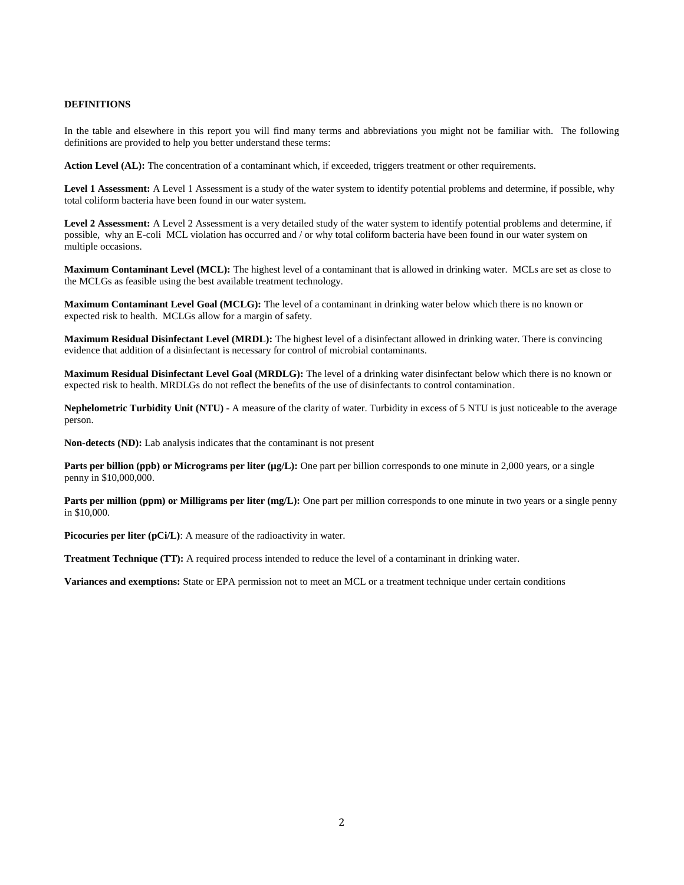### **DEFINITIONS**

In the table and elsewhere in this report you will find many terms and abbreviations you might not be familiar with. The following definitions are provided to help you better understand these terms:

Action Level (AL): The concentration of a contaminant which, if exceeded, triggers treatment or other requirements.

Level 1 Assessment: A Level 1 Assessment is a study of the water system to identify potential problems and determine, if possible, why total coliform bacteria have been found in our water system.

Level 2 Assessment: A Level 2 Assessment is a very detailed study of the water system to identify potential problems and determine, if possible, why an E-coli MCL violation has occurred and / or why total coliform bacteria have been found in our water system on multiple occasions.

**Maximum Contaminant Level (MCL):** The highest level of a contaminant that is allowed in drinking water. MCLs are set as close to the MCLGs as feasible using the best available treatment technology.

**Maximum Contaminant Level Goal (MCLG):** The level of a contaminant in drinking water below which there is no known or expected risk to health. MCLGs allow for a margin of safety.

**Maximum Residual Disinfectant Level (MRDL):** The highest level of a disinfectant allowed in drinking water. There is convincing evidence that addition of a disinfectant is necessary for control of microbial contaminants.

**Maximum Residual Disinfectant Level Goal (MRDLG):** The level of a drinking water disinfectant below which there is no known or expected risk to health. MRDLGs do not reflect the benefits of the use of disinfectants to control contamination.

**Nephelometric Turbidity Unit (NTU)** - A measure of the clarity of water. Turbidity in excess of 5 NTU is just noticeable to the average person.

**Non-detects (ND):** Lab analysis indicates that the contaminant is not present

**Parts per billion (ppb) or Micrograms per liter (µg/L):** One part per billion corresponds to one minute in 2,000 years, or a single penny in \$10,000,000.

**Parts per million (ppm) or Milligrams per liter (mg/L):** One part per million corresponds to one minute in two years or a single penny in \$10,000.

Picocuries per liter (pCi/L): A measure of the radioactivity in water.

**Treatment Technique (TT):** A required process intended to reduce the level of a contaminant in drinking water.

**Variances and exemptions:** State or EPA permission not to meet an MCL or a treatment technique under certain conditions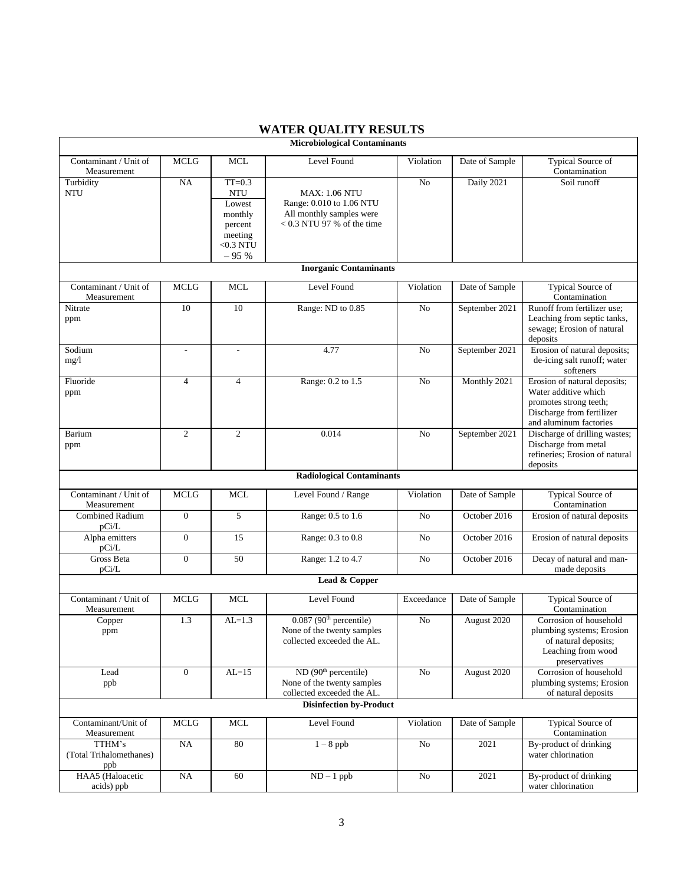|                                      |                  |                      | <b>Microbiological Contaminants</b>              |                |                |                                                       |  |
|--------------------------------------|------------------|----------------------|--------------------------------------------------|----------------|----------------|-------------------------------------------------------|--|
| Contaminant / Unit of                | <b>MCLG</b>      | <b>MCL</b>           | Level Found                                      | Violation      | Date of Sample | <b>Typical Source of</b>                              |  |
| Measurement                          |                  |                      |                                                  |                |                | Contamination                                         |  |
| Turbidity                            | NA               | $TT=0.3$             |                                                  | No             | Daily 2021     | Soil runoff                                           |  |
| <b>NTU</b>                           |                  | <b>NTU</b><br>Lowest | <b>MAX: 1.06 NTU</b><br>Range: 0.010 to 1.06 NTU |                |                |                                                       |  |
|                                      |                  | monthly              | All monthly samples were                         |                |                |                                                       |  |
|                                      |                  | percent              | $< 0.3$ NTU 97 % of the time                     |                |                |                                                       |  |
|                                      |                  | meeting              |                                                  |                |                |                                                       |  |
|                                      |                  | $<$ 0.3 NTU          |                                                  |                |                |                                                       |  |
|                                      |                  | $-95%$               |                                                  |                |                |                                                       |  |
| <b>Inorganic Contaminants</b>        |                  |                      |                                                  |                |                |                                                       |  |
| Contaminant / Unit of<br>Measurement | <b>MCLG</b>      | <b>MCL</b>           | Level Found                                      | Violation      | Date of Sample | Typical Source of<br>Contamination                    |  |
| Nitrate                              | 10               | 10                   | Range: ND to 0.85                                | No             | September 2021 | Runoff from fertilizer use;                           |  |
| ppm                                  |                  |                      |                                                  |                |                | Leaching from septic tanks,                           |  |
|                                      |                  |                      |                                                  |                |                | sewage; Erosion of natural                            |  |
| Sodium                               |                  |                      | 4.77                                             | No             | September 2021 | deposits<br>Erosion of natural deposits;              |  |
| mg/l                                 | ٠                | $\overline{a}$       |                                                  |                |                | de-icing salt runoff; water                           |  |
|                                      |                  |                      |                                                  |                |                | softeners                                             |  |
| Fluoride                             | $\overline{4}$   | $\overline{4}$       | Range: 0.2 to 1.5                                | No             | Monthly 2021   | Erosion of natural deposits;                          |  |
| ppm                                  |                  |                      |                                                  |                |                | Water additive which                                  |  |
|                                      |                  |                      |                                                  |                |                | promotes strong teeth;                                |  |
|                                      |                  |                      |                                                  |                |                | Discharge from fertilizer                             |  |
|                                      |                  | $\mathfrak{2}$       | 0.014                                            |                |                | and aluminum factories                                |  |
| Barium<br>ppm                        | 2                |                      |                                                  | No             | September 2021 | Discharge of drilling wastes;<br>Discharge from metal |  |
|                                      |                  |                      |                                                  |                |                | refineries; Erosion of natural                        |  |
|                                      |                  |                      |                                                  |                |                | deposits                                              |  |
| <b>Radiological Contaminants</b>     |                  |                      |                                                  |                |                |                                                       |  |
| Contaminant / Unit of                | <b>MCLG</b>      | <b>MCL</b>           | Level Found / Range                              | Violation      | Date of Sample | Typical Source of                                     |  |
| Measurement                          |                  |                      |                                                  |                |                | Contamination                                         |  |
| <b>Combined Radium</b>               | $\boldsymbol{0}$ | 5                    | Range: 0.5 to 1.6                                | No             | October 2016   | Erosion of natural deposits                           |  |
| pCi/L                                |                  |                      |                                                  |                |                |                                                       |  |
| Alpha emitters<br>pCi/L              | $\boldsymbol{0}$ | 15                   | Range: 0.3 to 0.8                                | No             | October 2016   | Erosion of natural deposits                           |  |
| Gross Beta                           | $\boldsymbol{0}$ | 50                   | Range: 1.2 to 4.7                                | N <sub>o</sub> | October 2016   | Decay of natural and man-                             |  |
| pCi/L                                |                  |                      |                                                  |                |                | made deposits                                         |  |
| Lead & Copper                        |                  |                      |                                                  |                |                |                                                       |  |
| Contaminant / Unit of                | <b>MCLG</b>      | <b>MCL</b>           | Level Found                                      | Exceedance     | Date of Sample | <b>Typical Source of</b>                              |  |
| Measurement                          |                  |                      |                                                  |                |                | Contamination                                         |  |
| Copper                               | 1.3              | $AL=1.3$             | $0.087$ (90 <sup>th</sup> percentile)            | No             | August 2020    | Corrosion of household                                |  |
| ppm                                  |                  |                      | None of the twenty samples                       |                |                | plumbing systems; Erosion                             |  |
|                                      |                  |                      | collected exceeded the AL.                       |                |                | of natural deposits;                                  |  |
|                                      |                  |                      |                                                  |                |                | Leaching from wood<br>preservatives                   |  |
| Lead                                 | $\mathbf{0}$     | $AL=15$              | ND (90 <sup>th</sup> percentile)                 | No             | August 2020    | Corrosion of household                                |  |
| ppb                                  |                  |                      | None of the twenty samples                       |                |                | plumbing systems; Erosion                             |  |
|                                      |                  |                      | collected exceeded the AL.                       |                |                | of natural deposits                                   |  |
|                                      |                  |                      | <b>Disinfection by-Product</b>                   |                |                |                                                       |  |
| Contaminant/Unit of                  | <b>MCLG</b>      | <b>MCL</b>           | Level Found                                      | Violation      | Date of Sample | <b>Typical Source of</b>                              |  |
| Measurement                          |                  |                      |                                                  |                |                | Contamination                                         |  |
| TTHM's                               | NA               | 80                   | $1 - 8$ ppb                                      | No             | 2021           | By-product of drinking                                |  |
| (Total Trihalomethanes)              |                  |                      |                                                  |                |                | water chlorination                                    |  |
| ppb<br>HAA5 (Haloacetic              | NA               | 60                   | $ND - 1$ ppb                                     | No             | 2021           | By-product of drinking                                |  |
| acids) ppb                           |                  |                      |                                                  |                |                | water chlorination                                    |  |

# **WATER QUALITY RESULTS**